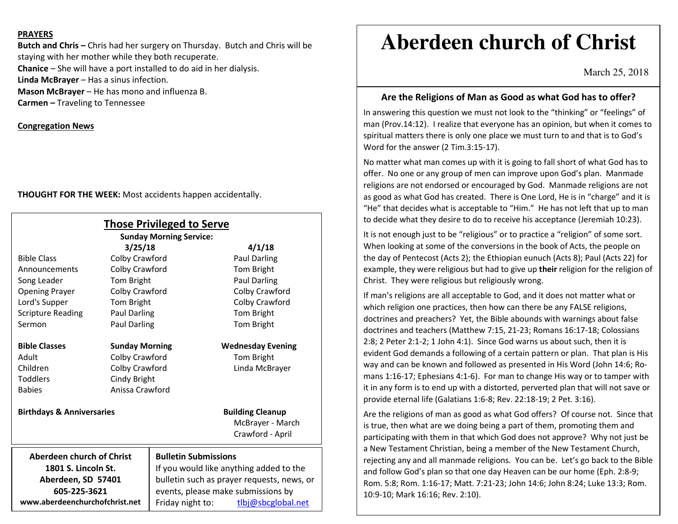#### **PRAYERS**

**Butch and Chris –** Chris had her surgery on Thursday. Butch and Chris will be staying with her mother while they both recuperate. **Chanice** – She will have a port installed to do aid in her dialysis. **Linda McBrayer** – Has a sinus infection. **Mason McBrayer** – He has mono and influenza B. **Carmen –** Traveling to Tennessee

### **Congregation News**

**THOUGHT FOR THE WEEK:** Most accidents happen accidentally.

| <b>Those Privileged to Serve</b><br><b>Sunday Morning Service:</b> |                       |                                            |                                             |
|--------------------------------------------------------------------|-----------------------|--------------------------------------------|---------------------------------------------|
|                                                                    | 3/25/18               |                                            | 4/1/18                                      |
| <b>Bible Class</b>                                                 | Colby Crawford        |                                            | <b>Paul Darling</b>                         |
| Announcements                                                      | Colby Crawford        |                                            | Tom Bright                                  |
| Song Leader                                                        | Tom Bright            |                                            | <b>Paul Darling</b>                         |
| <b>Opening Prayer</b>                                              | Colby Crawford        |                                            | Colby Crawford                              |
| Lord's Supper                                                      | Tom Bright            |                                            | Colby Crawford                              |
| <b>Scripture Reading</b>                                           | Paul Darling          |                                            | <b>Tom Bright</b>                           |
| Sermon                                                             | Paul Darling          |                                            | Tom Bright                                  |
| <b>Bible Classes</b>                                               | <b>Sunday Morning</b> |                                            | <b>Wednesday Evening</b>                    |
| Adult                                                              | Colby Crawford        |                                            | Tom Bright                                  |
| Children                                                           | Colby Crawford        |                                            | Linda McBrayer                              |
| <b>Toddlers</b>                                                    | Cindy Bright          |                                            |                                             |
| <b>Babies</b>                                                      | Anissa Crawford       |                                            |                                             |
| <b>Birthdays &amp; Anniversaries</b>                               |                       |                                            | <b>Building Cleanup</b><br>McBrayer - March |
|                                                                    |                       |                                            | Crawford - April                            |
| Aberdeen church of Christ                                          |                       | <b>Bulletin Submissions</b>                |                                             |
| 1801 S. Lincoln St.                                                |                       | If you would like anything added to the    |                                             |
| Aberdeen, SD 57401                                                 |                       | bulletin such as prayer requests, news, or |                                             |
| 605-225-3621                                                       |                       | events, please make submissions by         |                                             |
| www.aberdeenchurchofchrist.net                                     |                       | Friday night to:                           | tlbj@sbcglobal.net                          |

# **Aberdeen church of Christ**

March 25, 2018

## **Are the Religions of Man as Good as what God has to offer?**

In answering this question we must not look to the "thinking" or "feelings" of man (Prov.14:12). I realize that everyone has an opinion, but when it comes to spiritual matters there is only one place we must turn to and that is to God's Word for the answer (2 Tim.3:15-17).

No matter what man comes up with it is going to fall short of what God has to offer. No one or any group of men can improve upon God's plan. Manmade religions are not endorsed or encouraged by God. Manmade religions are not as good as what God has created. There is One Lord, He is in "charge" and it is "He" that decides what is acceptable to "Him." He has not left that up to man to decide what they desire to do to receive his acceptance (Jeremiah 10:23).

It is not enough just to be "religious" or to practice a "religion" of some sort. When looking at some of the conversions in the book of Acts, the people on the day of Pentecost (Acts 2); the Ethiopian eunuch (Acts 8); Paul (Acts 22) for example, they were religious but had to give up **their** religion for the religion of Christ. They were religious but religiously wrong.

If man's religions are all acceptable to God, and it does not matter what or which religion one practices, then how can there be any FALSE religions, doctrines and preachers? Yet, the Bible abounds with warnings about false doctrines and teachers (Matthew 7:15, 21-23; Romans 16:17-18; Colossians 2:8; 2 Peter 2:1-2; 1 John 4:1). Since God warns us about such, then it is evident God demands a following of a certain pattern or plan. That plan is His way and can be known and followed as presented in His Word (John 14:6; Romans 1:16-17; Ephesians 4:1-6). For man to change His way or to tamper with it in any form is to end up with a distorted, perverted plan that will not save or provide eternal life (Galatians 1:6-8; Rev. 22:18-19; 2 Pet. 3:16).

Are the religions of man as good as what God offers? Of course not. Since that is true, then what are we doing being a part of them, promoting them and participating with them in that which God does not approve? Why not just be a New Testament Christian, being a member of the New Testament Church, rejecting any and all manmade religions. You can be. Let's go back to the Bible and follow God's plan so that one day Heaven can be our home (Eph. 2:8-9; Rom. 5:8; Rom. 1:16-17; Matt. 7:21-23; John 14:6; John 8:24; Luke 13:3; Rom. 10:9-10; Mark 16:16; Rev. 2:10).